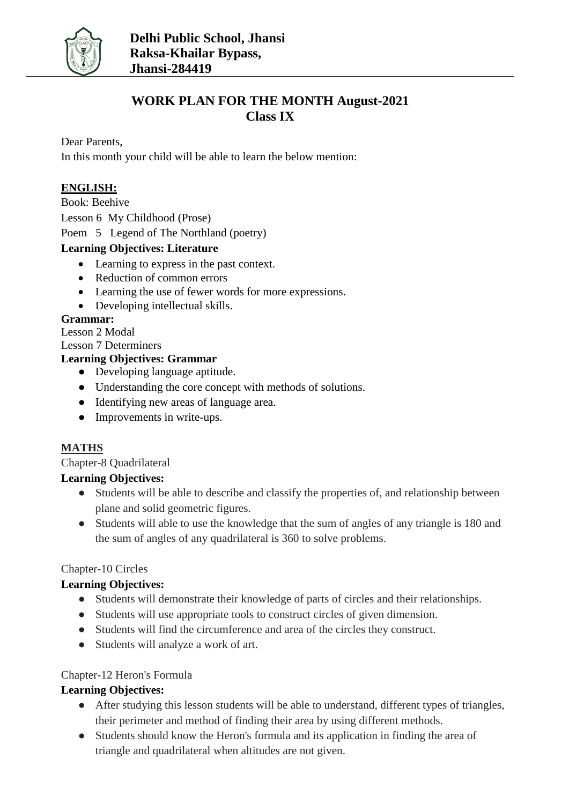

# **WORK PLAN FOR THE MONTH August-2021 Class IX**

Dear Parents,

In this month your child will be able to learn the below mention:

## **ENGLISH:**

Book: Beehive

Lesson 6 My Childhood (Prose)

Poem 5 Legend of The Northland (poetry)

#### **Learning Objectives: Literature**

- Learning to express in the past context.
- Reduction of common errors
- Learning the use of fewer words for more expressions.
- Developing intellectual skills.

#### **Grammar:**

Lesson 2 Modal

Lesson 7 Determiners

## **Learning Objectives: Grammar**

- Developing language aptitude.
- Understanding the core concept with methods of solutions.
- Identifying new areas of language area.
- Improvements in write-ups.

### **MATHS**

Chapter-8 Quadrilateral

#### **Learning Objectives:**

- Students will be able to describe and classify the properties of, and relationship between plane and solid geometric figures.
- Students will able to use the knowledge that the sum of angles of any triangle is 180 and the sum of angles of any quadrilateral is 360 to solve problems.

#### Chapter-10 Circles

### **Learning Objectives:**

- Students will demonstrate their knowledge of parts of circles and their relationships.
- Students will use appropriate tools to construct circles of given dimension.
- Students will find the circumference and area of the circles they construct.
- Students will analyze a work of art.

#### Chapter-12 Heron's Formula

### **Learning Objectives:**

- After studying this lesson students will be able to understand, different types of triangles, their perimeter and method of finding their area by using different methods.
- Students should know the Heron's formula and its application in finding the area of triangle and quadrilateral when altitudes are not given.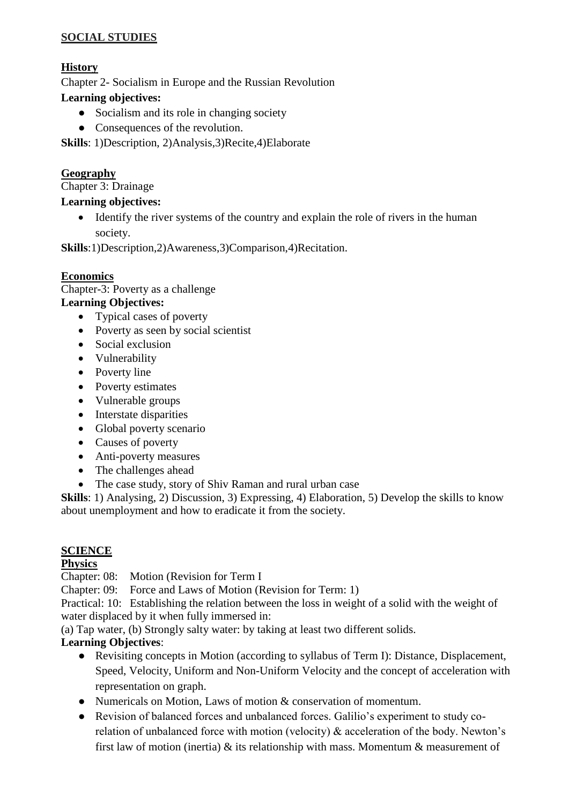### **SOCIAL STUDIES**

## **History**

Chapter 2- Socialism in Europe and the Russian Revolution

#### **Learning objectives:**

- Socialism and its role in changing society
- Consequences of the revolution.

**Skills**: 1)Description, 2)Analysis,3)Recite,4)Elaborate

### **Geography**

Chapter 3: Drainage

#### **Learning objectives:**

• Identify the river systems of the country and explain the role of rivers in the human society.

**Skills**:1)Description,2)Awareness,3)Comparison,4)Recitation.

#### **Economics**

Chapter-3: Poverty as a challenge

## **Learning Objectives:**

- Typical cases of poverty
- Poverty as seen by social scientist
- Social exclusion
- Vulnerability
- Poverty line
- Poverty estimates
- Vulnerable groups
- Interstate disparities
- Global poverty scenario
- Causes of poverty
- Anti-poverty measures
- The challenges ahead
- The case study, story of Shiv Raman and rural urban case

**Skills**: 1) Analysing, 2) Discussion, 3) Expressing, 4) Elaboration, 5) Develop the skills to know about unemployment and how to eradicate it from the society.

### **SCIENCE**

### **Physics**

Chapter: 08: Motion (Revision for Term I

Chapter: 09: Force and Laws of Motion (Revision for Term: 1)

Practical: 10: Establishing the relation between the loss in weight of a solid with the weight of water displaced by it when fully immersed in:

(a) Tap water, (b) Strongly salty water: by taking at least two different solids.

### **Learning Objectives**:

- Revisiting concepts in Motion (according to syllabus of Term I): Distance, Displacement, Speed, Velocity, Uniform and Non-Uniform Velocity and the concept of acceleration with representation on graph.
- Numericals on Motion, Laws of motion & conservation of momentum.
- Revision of balanced forces and unbalanced forces. Galilio's experiment to study corelation of unbalanced force with motion (velocity) & acceleration of the body. Newton's first law of motion (inertia)  $\&$  its relationship with mass. Momentum  $\&$  measurement of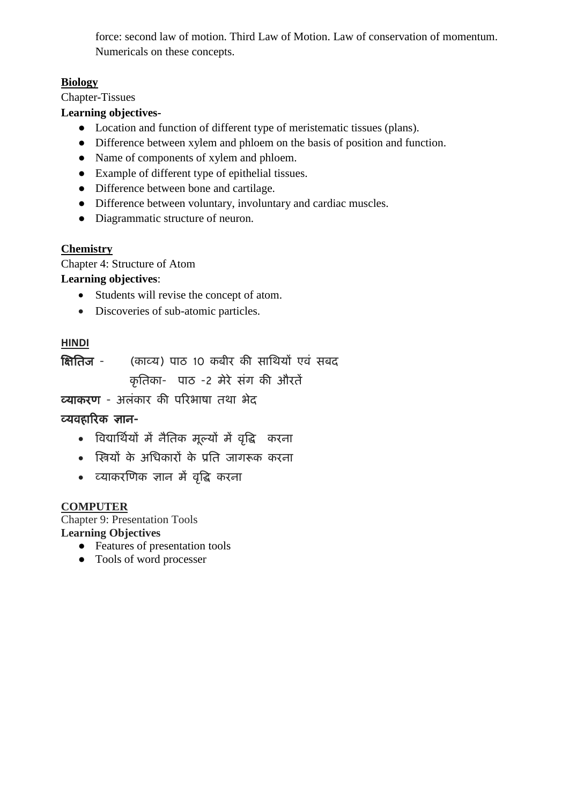force: second law of motion. Third Law of Motion. Law of conservation of momentum. Numericals on these concepts.

## **Biology**

Chapter-Tissues

### **Learning objectives-**

- Location and function of different type of meristematic tissues (plans).
- Difference between xylem and phloem on the basis of position and function.
- Name of components of xylem and phloem.
- Example of different type of epithelial tissues.
- Difference between bone and cartilage.
- Difference between voluntary, involuntary and cardiac muscles.
- Diagrammatic structure of neuron.

## **Chemistry**

Chapter 4: Structure of Atom

## **Learning objectives**:

- Students will revise the concept of atom.
- Discoveries of sub-atomic particles.

## **HINDI**

क्षितिज - (काव्य) पाठ 10 कबीर की साथियों एवं सबद कृतिका- पाठ -2 मेरे संग की औरतें

**व्याकरण** - अलंकार की परिभाषा तथा भेद

## व्यवहाररक ऻान-

- ववद्यातिियों में नैतिक मूल्यों में वृवि करना
- क्षियों के अतिकारों के प्रति जागरूक करना
- व्याकरक्षणक ऻान में वृवि करना

### **COMPUTER**

Chapter 9: Presentation Tools **Learning Objectives**

- Features of presentation tools
- Tools of word processer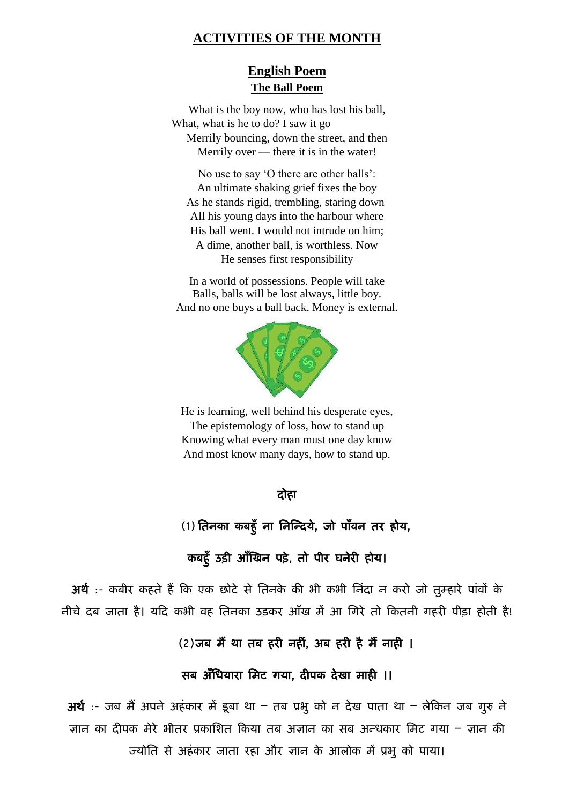#### **ACTIVITIES OF THE MONTH**

## **English Poem The Ball Poem**

What is the boy now, who has lost his ball, What, what is he to do? I saw it go Merrily bouncing, down the street, and then Merrily over — there it is in the water!

No use to say 'O there are other balls': An ultimate shaking grief fixes the boy As he stands rigid, trembling, staring down All his young days into the harbour where His ball went. I would not intrude on him; A dime, another ball, is worthless. Now He senses first responsibility

In a world of possessions. People will take Balls, balls will be lost always, little boy. And no one buys a ball back. Money is external.



He is learning, well behind his desperate eyes, The epistemology of loss, how to stand up Knowing what every man must one day know And most know many days, how to stand up.

#### दोहा

(1) तिनका कबहुँ ना निन्दिये, जो पाँवन तर होय,

## कबहुँ उड़ी आँखिन पड़े, तो पीर घर्नेरी होय।

अर्थ :- कबीर कहते हैं कि एक छोटे से तिनके की भी कभी निंदा न करो जो तुम्हारे पांवों के नीचे दब जाता है। यदि कभी वह तिनका उडकर आँख में आ गिरे तो कितनी गहरी पीडा होती है!

## $(2)$ जब मैं था तब हरी नहीं, अब हरी है मैं नाही ।

### सब अँधियारा मिट गया, दीपक देखा माही ।।

अर्थ :- जब मैं अपने अहंकार में डूबा था – तब प्रभू को न देख पाता था – लेकिन जब गुरु ने ज्ञान का दीपक मेरे भीतर प्रकाशित किया तब अज्ञान का सब अन्धकार मिट गया – ज्ञान की ज्योति से अहंकार जाता रहा और ज्ञान के आलोक में प्रभु को पाया।